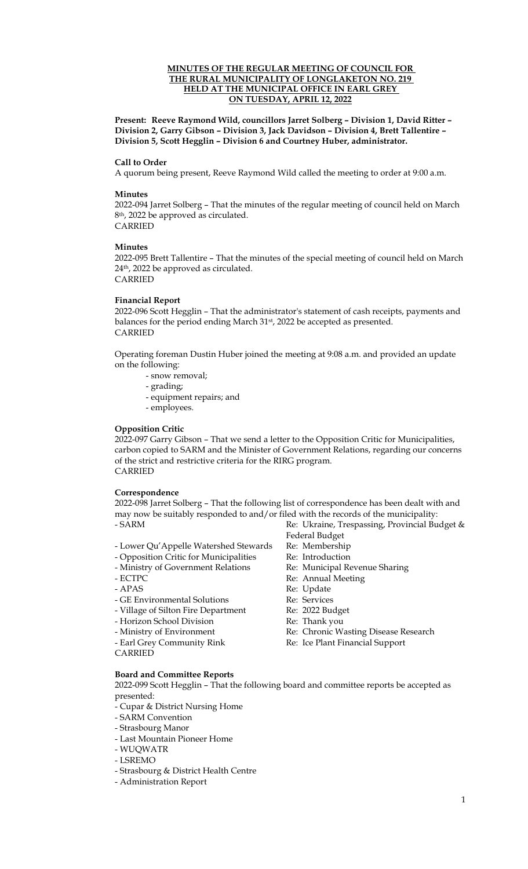## **MINUTES OF THE REGULAR MEETING OF COUNCIL FOR THE RURAL MUNICIPALITY OF LONGLAKETON NO. 219 HELD AT THE MUNICIPAL OFFICE IN EARL GREY ON TUESDAY, APRIL 12, 2022**

**Present: Reeve Raymond Wild, councillors Jarret Solberg – Division 1, David Ritter – Division 2, Garry Gibson – Division 3, Jack Davidson – Division 4, Brett Tallentire – Division 5, Scott Hegglin – Division 6 and Courtney Huber, administrator.** 

### **Call to Order**

A quorum being present, Reeve Raymond Wild called the meeting to order at 9:00 a.m.

#### **Minutes**

2022-094 Jarret Solberg – That the minutes of the regular meeting of council held on March 8th, 2022 be approved as circulated. CARRIED

#### **Minutes**

2022-095 Brett Tallentire – That the minutes of the special meeting of council held on March 24th, 2022 be approved as circulated. CARRIED

#### **Financial Report**

2022-096 Scott Hegglin – That the administrator's statement of cash receipts, payments and balances for the period ending March 31st, 2022 be accepted as presented. CARRIED

Operating foreman Dustin Huber joined the meeting at 9:08 a.m. and provided an update on the following:

- snow removal;
- grading;
- equipment repairs; and
- employees.

### **Opposition Critic**

2022-097 Garry Gibson – That we send a letter to the Opposition Critic for Municipalities, carbon copied to SARM and the Minister of Government Relations, regarding our concerns of the strict and restrictive criteria for the RIRG program. CARRIED

#### **Correspondence**

2022-098 Jarret Solberg – That the following list of correspondence has been dealt with and may now be suitably responded to and/or filed with the records of the municipality: - SARM Re: Ukraine, Trespassing, Provincial Budget &

- Lower Qu'Appelle Watershed Stewards Re: Membership<br>- Opposition Critic for Municipalities Re: Introduction
- Opposition Critic for Municipalities
- Ministry of Government Relations Re: Municipal Revenue Sharing
	-
- ECTPC Re: Annual Meeting
- APAS Re: Update

Federal Budget

- GE Environmental Solutions Re: Services
- Village of Silton Fire Department Re: 2022 Budget
- Horizon School Division Re: Thank you
- Ministry of Environment Re: Chronic Wasting Disease Research
- Earl Grey Community Rink Re: Ice Plant Financial Support
- CARRIED

**Board and Committee Reports** 

2022-099 Scott Hegglin – That the following board and committee reports be accepted as presented:

- Cupar & District Nursing Home
- SARM Convention
- Strasbourg Manor
- Last Mountain Pioneer Home
- WUQWATR
- LSREMO
- Strasbourg & District Health Centre
- Administration Report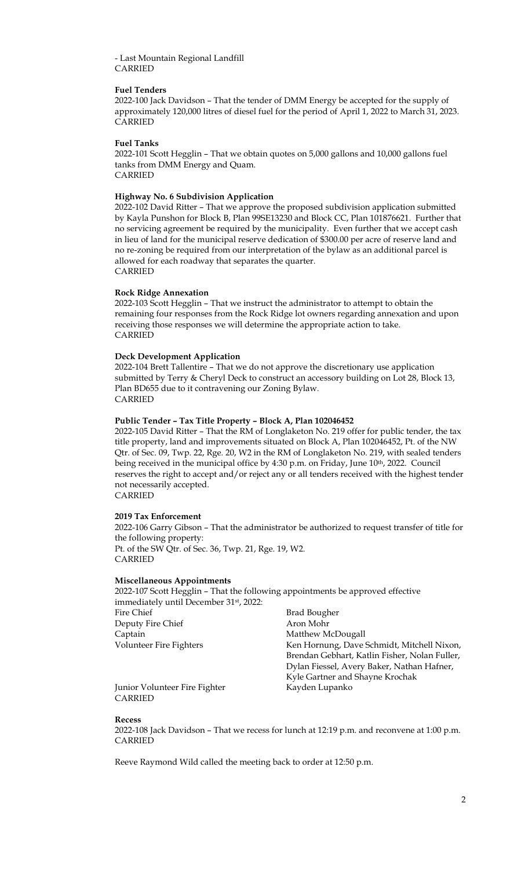## - Last Mountain Regional Landfill CARRIED

## **Fuel Tenders**

2022-100 Jack Davidson – That the tender of DMM Energy be accepted for the supply of approximately 120,000 litres of diesel fuel for the period of April 1, 2022 to March 31, 2023. CARRIED

### **Fuel Tanks**

2022-101 Scott Hegglin – That we obtain quotes on 5,000 gallons and 10,000 gallons fuel tanks from DMM Energy and Quam. CARRIED

## **Highway No. 6 Subdivision Application**

2022-102 David Ritter – That we approve the proposed subdivision application submitted by Kayla Punshon for Block B, Plan 99SE13230 and Block CC, Plan 101876621. Further that no servicing agreement be required by the municipality. Even further that we accept cash in lieu of land for the municipal reserve dedication of \$300.00 per acre of reserve land and no re-zoning be required from our interpretation of the bylaw as an additional parcel is allowed for each roadway that separates the quarter. CARRIED

## **Rock Ridge Annexation**

2022-103 Scott Hegglin – That we instruct the administrator to attempt to obtain the remaining four responses from the Rock Ridge lot owners regarding annexation and upon receiving those responses we will determine the appropriate action to take. CARRIED

## **Deck Development Application**

2022-104 Brett Tallentire – That we do not approve the discretionary use application submitted by Terry & Cheryl Deck to construct an accessory building on Lot 28, Block 13, Plan BD655 due to it contravening our Zoning Bylaw. CARRIED

## **Public Tender – Tax Title Property – Block A, Plan 102046452**

2022-105 David Ritter – That the RM of Longlaketon No. 219 offer for public tender, the tax title property, land and improvements situated on Block A, Plan 102046452, Pt. of the NW Qtr. of Sec. 09, Twp. 22, Rge. 20, W2 in the RM of Longlaketon No. 219, with sealed tenders being received in the municipal office by 4:30 p.m. on Friday, June 10<sup>th</sup>, 2022. Council reserves the right to accept and/or reject any or all tenders received with the highest tender not necessarily accepted.

CARRIED

### **2019 Tax Enforcement**

2022-106 Garry Gibson – That the administrator be authorized to request transfer of title for the following property: Pt. of the SW Qtr. of Sec. 36, Twp. 21, Rge. 19, W2. CARRIED

### **Miscellaneous Appointments**

2022-107 Scott Hegglin – That the following appointments be approved effective immediately until December 31st, 2022: Fire Chief Brad Bougher Deputy Fire Chief Aron Mohr Captain Matthew McDougall Volunteer Fire Fighters Ken Hornung, Dave Schmidt, Mitchell Nixon, Brendan Gebhart, Katlin Fisher, Nolan Fuller, Dylan Fiessel, Avery Baker, Nathan Hafner, Kyle Gartner and Shayne Krochak

Junior Volunteer Fire Fighter Kayden Lupanko CARRIED

**Recess**

2022-108 Jack Davidson – That we recess for lunch at 12:19 p.m. and reconvene at 1:00 p.m. CARRIED

Reeve Raymond Wild called the meeting back to order at 12:50 p.m.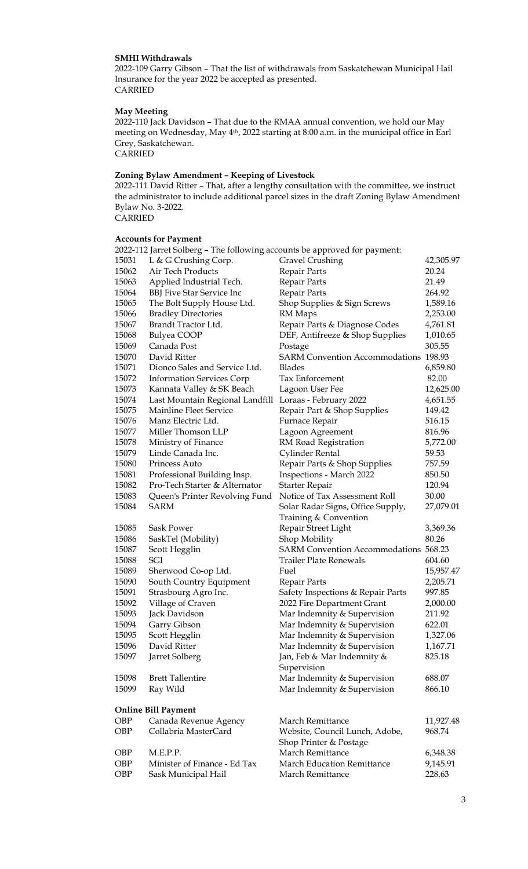## **SMHI Withdrawals**

2022-109 Garry Gibson – That the list of withdrawals from Saskatchewan Municipal Hail Insurance for the year 2022 be accepted as presented. CARRIED

## **May Meeting**

2022-110 Jack Davidson – That due to the RMAA annual convention, we hold our May meeting on Wednesday, May 4th, 2022 starting at 8:00 a.m. in the municipal office in Earl Grey, Saskatchewan. CARRIED

## **Zoning Bylaw Amendment – Keeping of Livestock**

2022-111 David Ritter – That, after a lengthy consultation with the committee, we instruct the administrator to include additional parcel sizes in the draft Zoning Bylaw Amendment Bylaw No. 3-2022. **CARRIED** 

# **Accounts for Payment**

|       | 2022-112 Jarret Solberg – The following accounts be approved for payment: |                                              |           |
|-------|---------------------------------------------------------------------------|----------------------------------------------|-----------|
| 15031 | L & G Crushing Corp.                                                      | <b>Gravel Crushing</b>                       | 42,305.97 |
| 15062 | Air Tech Products                                                         | Repair Parts                                 | 20.24     |
| 15063 | Applied Industrial Tech.                                                  | Repair Parts                                 | 21.49     |
| 15064 | <b>BBJ</b> Five Star Service Inc                                          | Repair Parts                                 | 264.92    |
| 15065 | The Bolt Supply House Ltd.                                                | Shop Supplies & Sign Screws                  | 1,589.16  |
| 15066 | <b>Bradley Directories</b>                                                | RM Maps                                      | 2,253.00  |
| 15067 | Brandt Tractor Ltd.                                                       | Repair Parts & Diagnose Codes                | 4,761.81  |
| 15068 | <b>Bulyea COOP</b>                                                        | DEF, Antifreeze & Shop Supplies              | 1,010.65  |
| 15069 | Canada Post                                                               | Postage                                      | 305.55    |
| 15070 | David Ritter                                                              | <b>SARM Convention Accommodations 198.93</b> |           |
| 15071 | Dionco Sales and Service Ltd.                                             | <b>Blades</b>                                | 6,859.80  |
| 15072 | <b>Information Services Corp</b>                                          | Tax Enforcement                              | 82.00     |
| 15073 | Kannata Valley & SK Beach                                                 | Lagoon User Fee                              | 12,625.00 |
| 15074 | Last Mountain Regional Landfill                                           | Loraas - February 2022                       | 4,651.55  |
| 15075 | Mainline Fleet Service                                                    | Repair Part & Shop Supplies                  | 149.42    |
| 15076 | Manz Electric Ltd.                                                        | Furnace Repair                               | 516.15    |
| 15077 | Miller Thomson LLP                                                        | Lagoon Agreement                             | 816.96    |
| 15078 | Ministry of Finance                                                       | RM Road Registration                         | 5,772.00  |
| 15079 | Linde Canada Inc.                                                         | Cylinder Rental                              | 59.53     |
| 15080 | Princess Auto                                                             | Repair Parts & Shop Supplies                 | 757.59    |
| 15081 | Professional Building Insp.                                               | Inspections - March 2022                     | 850.50    |
| 15082 | Pro-Tech Starter & Alternator                                             | Starter Repair                               | 120.94    |
| 15083 | Queen's Printer Revolving Fund                                            | Notice of Tax Assessment Roll                | 30.00     |
| 15084 | <b>SARM</b>                                                               | Solar Radar Signs, Office Supply,            | 27,079.01 |
|       |                                                                           | Training & Convention                        |           |
| 15085 | Sask Power                                                                | Repair Street Light                          | 3,369.36  |
| 15086 | SaskTel (Mobility)                                                        | Shop Mobility                                | 80.26     |
| 15087 | Scott Hegglin                                                             | SARM Convention Accommodations 568.23        |           |
| 15088 | SGI                                                                       | <b>Trailer Plate Renewals</b>                | 604.60    |
| 15089 | Sherwood Co-op Ltd.                                                       | Fuel                                         | 15,957.47 |
| 15090 | South Country Equipment                                                   | Repair Parts                                 | 2,205.71  |
| 15091 | Strasbourg Agro Inc.                                                      | Safety Inspections & Repair Parts            | 997.85    |
| 15092 | Village of Craven                                                         | 2022 Fire Department Grant                   | 2,000.00  |
| 15093 | Jack Davidson                                                             | Mar Indemnity & Supervision                  | 211.92    |
| 15094 | Garry Gibson                                                              | Mar Indemnity & Supervision                  | 622.01    |
| 15095 | Scott Hegglin                                                             | Mar Indemnity & Supervision                  | 1,327.06  |
| 15096 | David Ritter                                                              | Mar Indemnity & Supervision                  | 1,167.71  |
| 15097 | Jarret Solberg                                                            | Jan, Feb & Mar Indemnity &                   | 825.18    |
|       |                                                                           | Supervision                                  |           |
| 15098 | <b>Brett Tallentire</b>                                                   | Mar Indemnity & Supervision                  | 688.07    |
| 15099 | Ray Wild                                                                  | Mar Indemnity & Supervision                  | 866.10    |
|       |                                                                           |                                              |           |
|       | <b>Online Bill Payment</b>                                                |                                              |           |
| OBP   | Canada Revenue Agency                                                     | March Remittance                             | 11,927.48 |
| OBP   | Collabria MasterCard                                                      | Website, Council Lunch, Adobe,               | 968.74    |
|       |                                                                           | Shop Printer & Postage                       |           |
| OBP   | M.E.P.P.                                                                  | March Remittance                             | 6,348.38  |
| OBP   | Minister of Finance - Ed Tax                                              | March Education Remittance                   | 9,145.91  |
| OBP   | Sask Municipal Hail                                                       | March Remittance                             | 228.63    |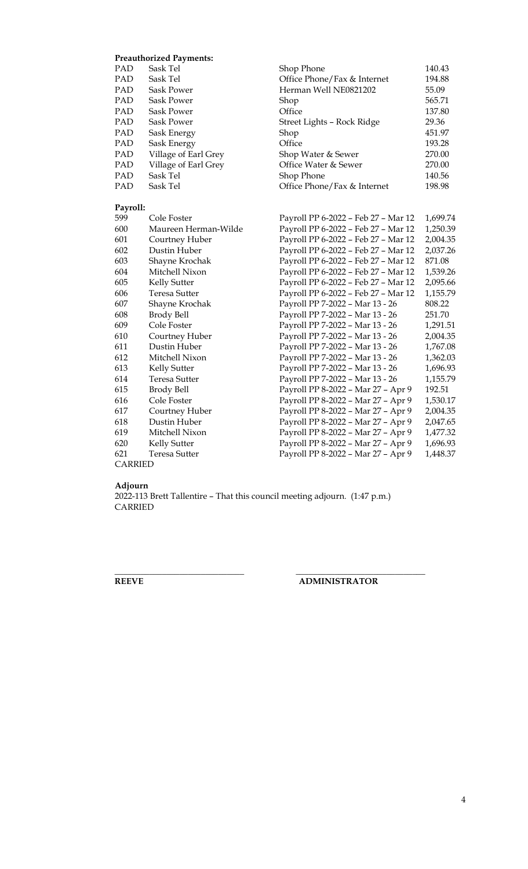## **Preauthorized Payments:**

| PAD            | Sask Tel             | Shop Phone                          | 140.43   |
|----------------|----------------------|-------------------------------------|----------|
| PAD            | Sask Tel             | Office Phone/Fax & Internet         | 194.88   |
| PAD            | <b>Sask Power</b>    | Herman Well NE0821202               | 55.09    |
| PAD            | <b>Sask Power</b>    | Shop                                | 565.71   |
| PAD            | <b>Sask Power</b>    | Office                              | 137.80   |
| PAD            | <b>Sask Power</b>    | Street Lights - Rock Ridge          | 29.36    |
| PAD            | Sask Energy          | Shop                                | 451.97   |
| <b>PAD</b>     | Sask Energy          | Office                              | 193.28   |
| PAD            | Village of Earl Grey | Shop Water & Sewer                  | 270.00   |
| PAD            | Village of Earl Grey | Office Water & Sewer                | 270.00   |
| PAD            | Sask Tel             | Shop Phone                          | 140.56   |
| PAD            | Sask Tel             | Office Phone/Fax & Internet         | 198.98   |
| Payroll:       |                      |                                     |          |
| 599            | Cole Foster          | Payroll PP 6-2022 - Feb 27 - Mar 12 | 1,699.74 |
| 600            | Maureen Herman-Wilde | Payroll PP 6-2022 - Feb 27 - Mar 12 | 1,250.39 |
| 601            | Courtney Huber       | Payroll PP 6-2022 - Feb 27 - Mar 12 | 2,004.35 |
| 602            | Dustin Huber         | Payroll PP 6-2022 - Feb 27 - Mar 12 | 2,037.26 |
| 603            | Shayne Krochak       | Payroll PP 6-2022 - Feb 27 - Mar 12 | 871.08   |
| 604            | Mitchell Nixon       | Payroll PP 6-2022 - Feb 27 - Mar 12 | 1,539.26 |
| 605            | <b>Kelly Sutter</b>  | Payroll PP 6-2022 - Feb 27 - Mar 12 | 2,095.66 |
| 606            | <b>Teresa Sutter</b> | Payroll PP 6-2022 - Feb 27 - Mar 12 | 1,155.79 |
| 607            | Shayne Krochak       | Payroll PP 7-2022 - Mar 13 - 26     | 808.22   |
| 608            | Brody Bell           | Payroll PP 7-2022 - Mar 13 - 26     | 251.70   |
| 609            | Cole Foster          | Payroll PP 7-2022 - Mar 13 - 26     | 1,291.51 |
| 610            | Courtney Huber       | Payroll PP 7-2022 - Mar 13 - 26     | 2,004.35 |
| 611            | Dustin Huber         | Payroll PP 7-2022 - Mar 13 - 26     | 1,767.08 |
| 612            | Mitchell Nixon       | Payroll PP 7-2022 - Mar 13 - 26     | 1,362.03 |
| 613            | Kelly Sutter         | Payroll PP 7-2022 - Mar 13 - 26     | 1,696.93 |
| 614            | <b>Teresa Sutter</b> | Payroll PP 7-2022 - Mar 13 - 26     | 1,155.79 |
| 615            | <b>Brody Bell</b>    | Payroll PP 8-2022 - Mar 27 - Apr 9  | 192.51   |
| 616            | Cole Foster          | Payroll PP 8-2022 - Mar 27 - Apr 9  | 1,530.17 |
| 617            | Courtney Huber       | Payroll PP 8-2022 - Mar 27 - Apr 9  | 2,004.35 |
| 618            | Dustin Huber         | Payroll PP 8-2022 - Mar 27 - Apr 9  | 2,047.65 |
| 619            | Mitchell Nixon       | Payroll PP 8-2022 - Mar 27 - Apr 9  | 1,477.32 |
| 620            | Kelly Sutter         | Payroll PP 8-2022 - Mar 27 - Apr 9  | 1,696.93 |
| 621            | <b>Teresa Sutter</b> | Payroll PP 8-2022 - Mar 27 - Apr 9  | 1,448.37 |
| <b>CARRIED</b> |                      |                                     |          |

#### **Adjourn**

2022-113 Brett Tallentire – That this council meeting adjourn. (1:47 p.m.) CARRIED

**\_\_\_\_\_\_\_\_\_\_\_\_\_\_\_\_\_\_\_\_\_\_\_\_\_\_\_\_\_\_ \_\_\_\_\_\_\_\_\_\_\_\_\_\_\_\_\_\_\_\_\_\_\_\_\_\_\_\_\_\_**

# **REEVE ADMINISTRATOR**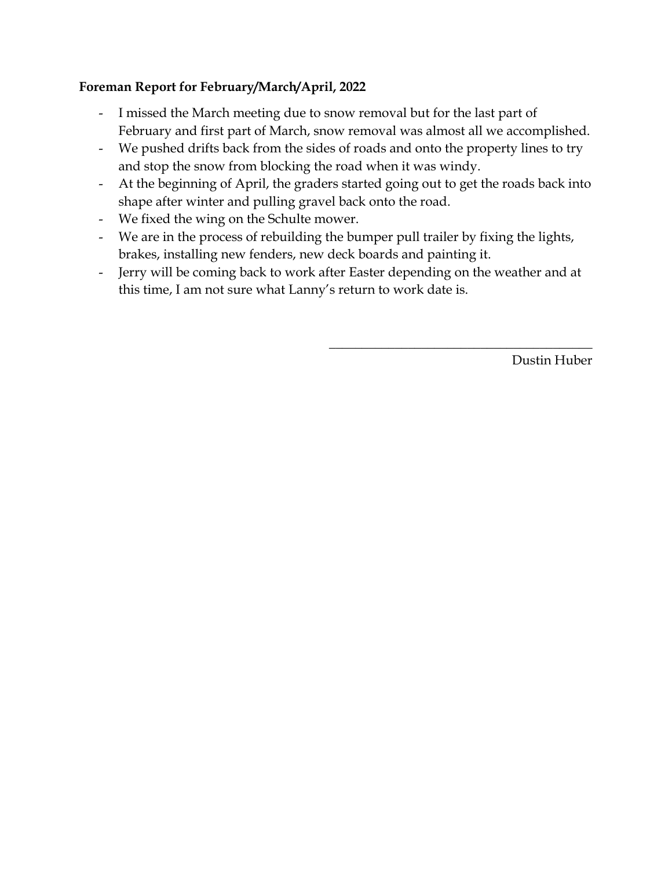# **Foreman Report for February/March/April, 2022**

- I missed the March meeting due to snow removal but for the last part of February and first part of March, snow removal was almost all we accomplished.
- We pushed drifts back from the sides of roads and onto the property lines to try and stop the snow from blocking the road when it was windy.
- At the beginning of April, the graders started going out to get the roads back into shape after winter and pulling gravel back onto the road.
- We fixed the wing on the Schulte mower.
- We are in the process of rebuilding the bumper pull trailer by fixing the lights, brakes, installing new fenders, new deck boards and painting it.
- Jerry will be coming back to work after Easter depending on the weather and at this time, I am not sure what Lanny's return to work date is.

Dustin Huber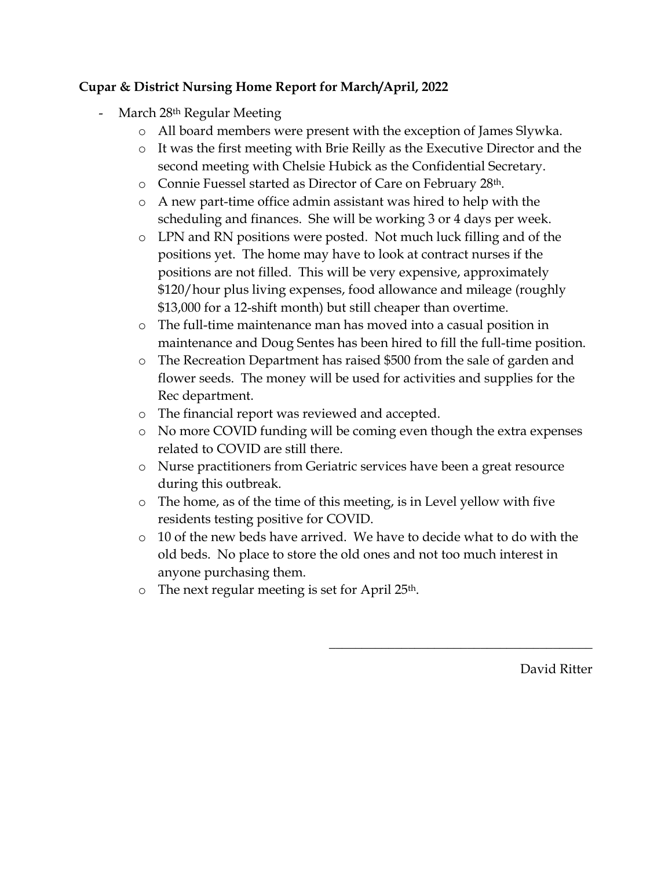# **Cupar & District Nursing Home Report for March/April, 2022**

- March 28<sup>th</sup> Regular Meeting
	- o All board members were present with the exception of James Slywka.
	- o It was the first meeting with Brie Reilly as the Executive Director and the second meeting with Chelsie Hubick as the Confidential Secretary.
	- o Connie Fuessel started as Director of Care on February 28th.
	- o A new part-time office admin assistant was hired to help with the scheduling and finances. She will be working 3 or 4 days per week.
	- o LPN and RN positions were posted. Not much luck filling and of the positions yet. The home may have to look at contract nurses if the positions are not filled. This will be very expensive, approximately \$120/hour plus living expenses, food allowance and mileage (roughly \$13,000 for a 12-shift month) but still cheaper than overtime.
	- o The full-time maintenance man has moved into a casual position in maintenance and Doug Sentes has been hired to fill the full-time position.
	- o The Recreation Department has raised \$500 from the sale of garden and flower seeds. The money will be used for activities and supplies for the Rec department.
	- o The financial report was reviewed and accepted.
	- o No more COVID funding will be coming even though the extra expenses related to COVID are still there.
	- o Nurse practitioners from Geriatric services have been a great resource during this outbreak.
	- o The home, as of the time of this meeting, is in Level yellow with five residents testing positive for COVID.
	- o 10 of the new beds have arrived. We have to decide what to do with the old beds. No place to store the old ones and not too much interest in anyone purchasing them.
	- $\circ$  The next regular meeting is set for April 25<sup>th</sup>.

David Ritter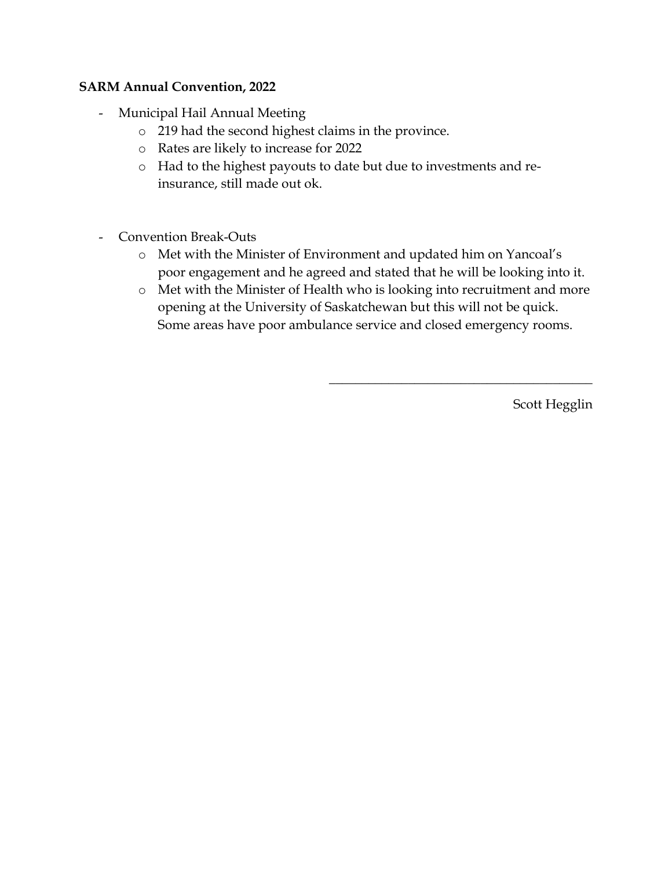## **SARM Annual Convention, 2022**

- Municipal Hail Annual Meeting
	- o 219 had the second highest claims in the province.
	- o Rates are likely to increase for 2022
	- o Had to the highest payouts to date but due to investments and reinsurance, still made out ok.
- Convention Break-Outs
	- o Met with the Minister of Environment and updated him on Yancoal's poor engagement and he agreed and stated that he will be looking into it.
	- o Met with the Minister of Health who is looking into recruitment and more opening at the University of Saskatchewan but this will not be quick. Some areas have poor ambulance service and closed emergency rooms.

Scott Hegglin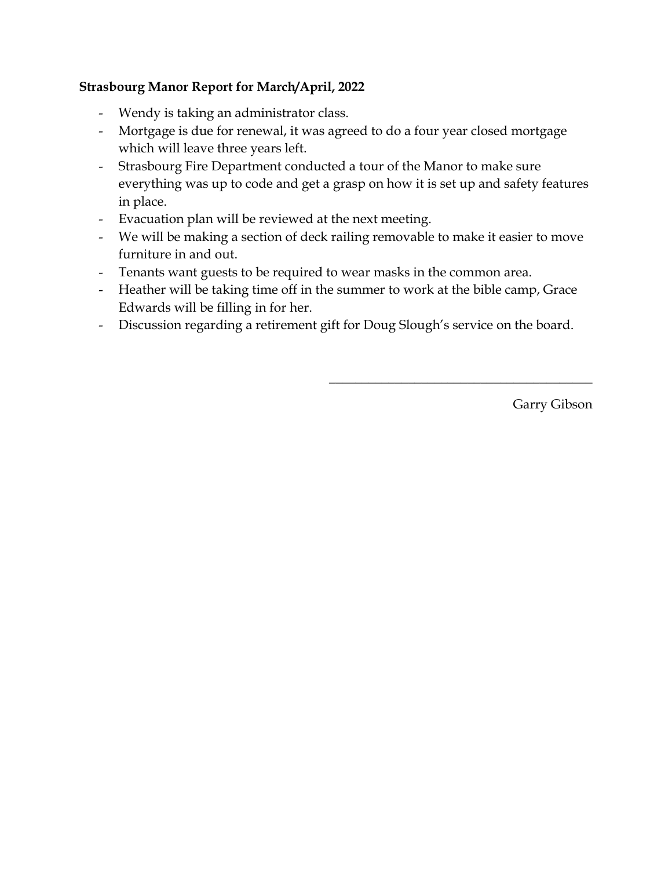# **Strasbourg Manor Report for March/April, 2022**

- Wendy is taking an administrator class.
- Mortgage is due for renewal, it was agreed to do a four year closed mortgage which will leave three years left.
- Strasbourg Fire Department conducted a tour of the Manor to make sure everything was up to code and get a grasp on how it is set up and safety features in place.
- Evacuation plan will be reviewed at the next meeting.
- We will be making a section of deck railing removable to make it easier to move furniture in and out.
- Tenants want guests to be required to wear masks in the common area.
- Heather will be taking time off in the summer to work at the bible camp, Grace Edwards will be filling in for her.
- Discussion regarding a retirement gift for Doug Slough's service on the board.

Garry Gibson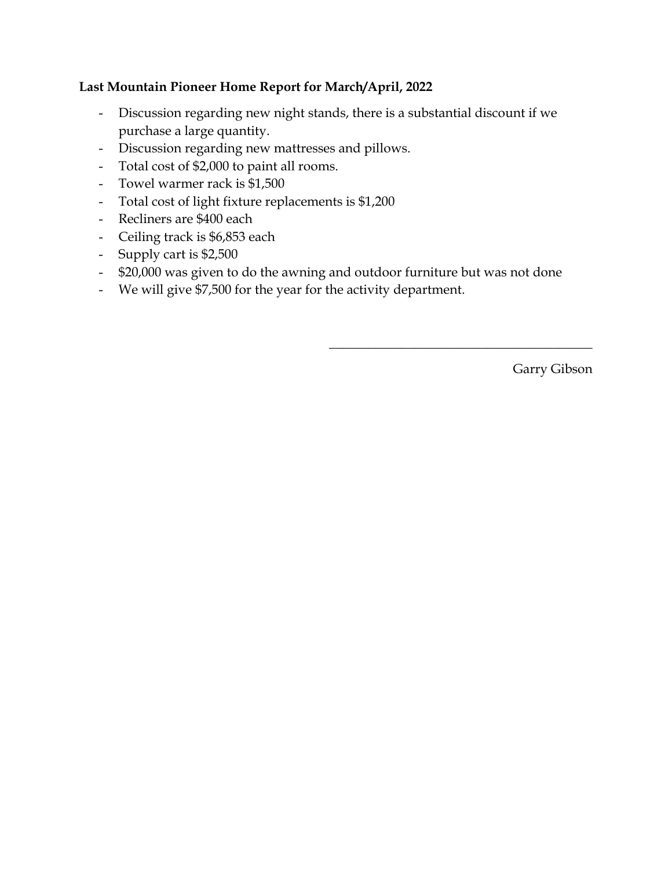# **Last Mountain Pioneer Home Report for March/April, 2022**

- Discussion regarding new night stands, there is a substantial discount if we purchase a large quantity.
- Discussion regarding new mattresses and pillows.
- Total cost of \$2,000 to paint all rooms.
- Towel warmer rack is \$1,500
- Total cost of light fixture replacements is \$1,200
- Recliners are \$400 each
- Ceiling track is \$6,853 each
- Supply cart is \$2,500
- \$20,000 was given to do the awning and outdoor furniture but was not done
- We will give \$7,500 for the year for the activity department.

Garry Gibson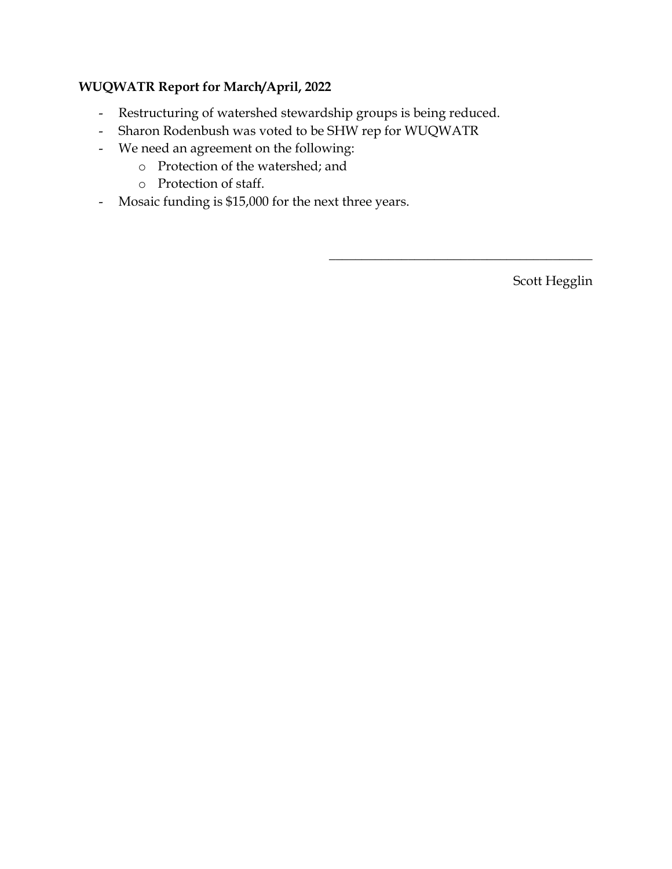# **WUQWATR Report for March/April, 2022**

- Restructuring of watershed stewardship groups is being reduced.
- Sharon Rodenbush was voted to be SHW rep for WUQWATR
- We need an agreement on the following:
	- o Protection of the watershed; and
	- o Protection of staff.
- Mosaic funding is \$15,000 for the next three years.

Scott Hegglin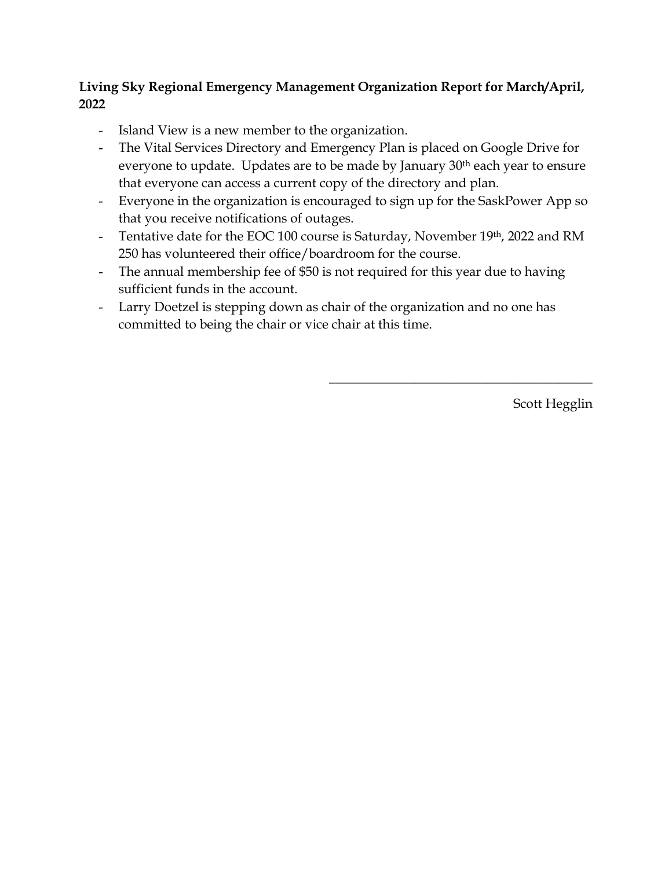# **Living Sky Regional Emergency Management Organization Report for March/April, 2022**

- Island View is a new member to the organization.
- The Vital Services Directory and Emergency Plan is placed on Google Drive for everyone to update. Updates are to be made by January 30<sup>th</sup> each year to ensure that everyone can access a current copy of the directory and plan.
- Everyone in the organization is encouraged to sign up for the SaskPower App so that you receive notifications of outages.
- Tentative date for the EOC 100 course is Saturday, November 19th, 2022 and RM 250 has volunteered their office/boardroom for the course.
- The annual membership fee of \$50 is not required for this year due to having sufficient funds in the account.
- Larry Doetzel is stepping down as chair of the organization and no one has committed to being the chair or vice chair at this time.

Scott Hegglin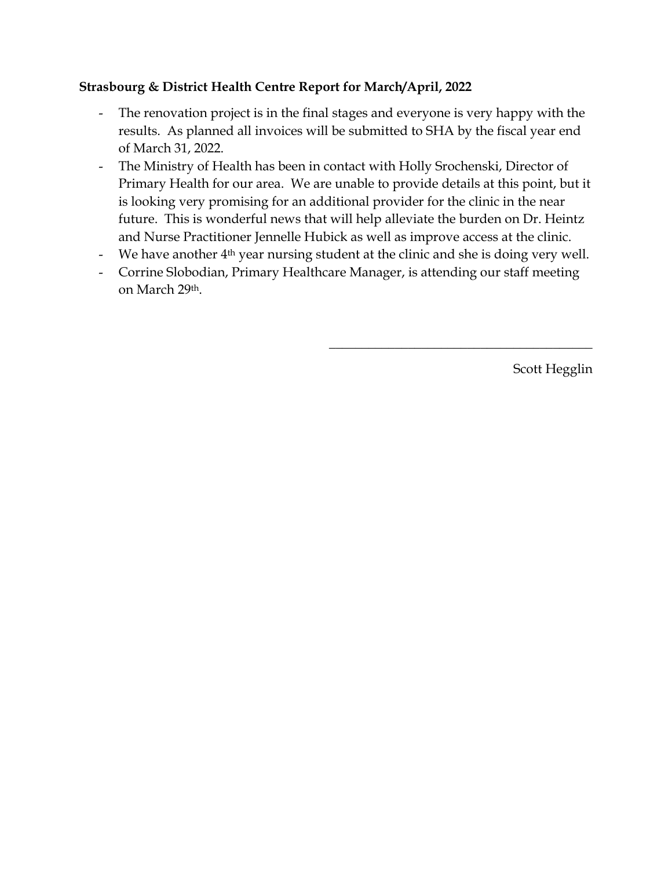# **Strasbourg & District Health Centre Report for March/April, 2022**

- The renovation project is in the final stages and everyone is very happy with the results. As planned all invoices will be submitted to SHA by the fiscal year end of March 31, 2022.
- The Ministry of Health has been in contact with Holly Srochenski, Director of Primary Health for our area. We are unable to provide details at this point, but it is looking very promising for an additional provider for the clinic in the near future. This is wonderful news that will help alleviate the burden on Dr. Heintz and Nurse Practitioner Jennelle Hubick as well as improve access at the clinic.
- We have another  $4<sup>th</sup>$  year nursing student at the clinic and she is doing very well.
- Corrine Slobodian, Primary Healthcare Manager, is attending our staff meeting on March 29th.

Scott Hegglin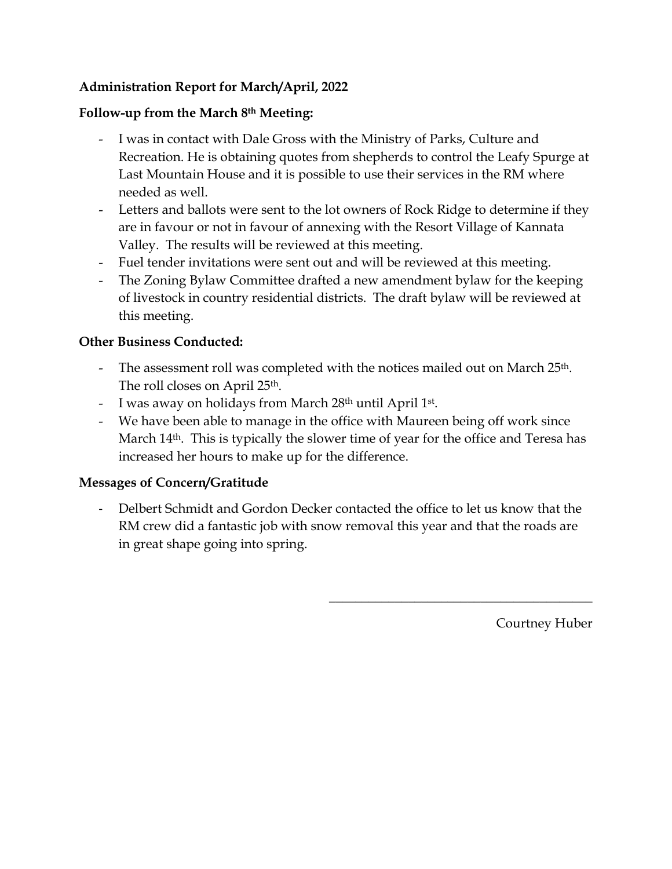# **Administration Report for March/April, 2022**

# **Follow-up from the March 8th Meeting:**

- I was in contact with Dale Gross with the Ministry of Parks, Culture and Recreation. He is obtaining quotes from shepherds to control the Leafy Spurge at Last Mountain House and it is possible to use their services in the RM where needed as well.
- Letters and ballots were sent to the lot owners of Rock Ridge to determine if they are in favour or not in favour of annexing with the Resort Village of Kannata Valley. The results will be reviewed at this meeting.
- Fuel tender invitations were sent out and will be reviewed at this meeting.
- The Zoning Bylaw Committee drafted a new amendment bylaw for the keeping of livestock in country residential districts. The draft bylaw will be reviewed at this meeting.

# **Other Business Conducted:**

- The assessment roll was completed with the notices mailed out on March 25<sup>th</sup>. The roll closes on April 25th.
- I was away on holidays from March 28<sup>th</sup> until April 1<sup>st</sup>.
- We have been able to manage in the office with Maureen being off work since March 14<sup>th</sup>. This is typically the slower time of year for the office and Teresa has increased her hours to make up for the difference.

# **Messages of Concern/Gratitude**

- Delbert Schmidt and Gordon Decker contacted the office to let us know that the RM crew did a fantastic job with snow removal this year and that the roads are in great shape going into spring.

Courtney Huber